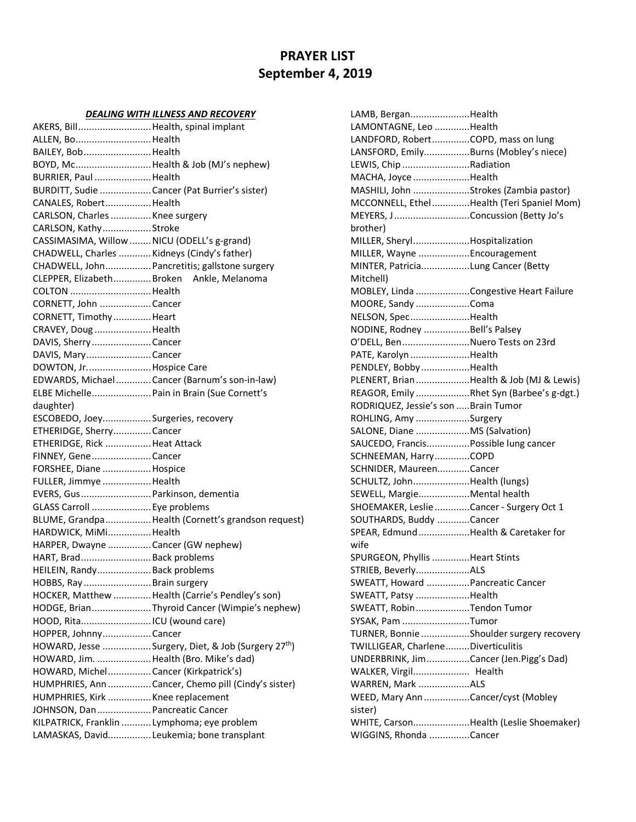# **PRAYER LIST September 4, 2019**

#### *DEALING WITH ILLNESS AND RECOVERY*

| AKERS, Bill Health, spinal implant          |                                                                |
|---------------------------------------------|----------------------------------------------------------------|
| ALLEN, BoHealth                             |                                                                |
| BAILEY, BobHealth                           |                                                                |
|                                             | BOYD, Mc Health & Job (MJ's nephew)                            |
| BURRIER, Paul Health                        |                                                                |
|                                             | BURDITT, Sudie  Cancer (Pat Burrier's sister)                  |
| CANALES, RobertHealth                       |                                                                |
| CARLSON, Charles  Knee surgery              |                                                                |
| CARLSON, KathyStroke                        |                                                                |
| CASSIMASIMA, Willow  NICU (ODELL's g-grand) |                                                                |
| CHADWELL, Charles  Kidneys (Cindy's father) |                                                                |
|                                             | CHADWELL, John Pancretitis; gallstone surgery                  |
|                                             | CLEPPER, Elizabeth Broken Ankle, Melanoma                      |
| COLTON  Health                              |                                                                |
| CORNETT, John Cancer                        |                                                                |
| CORNETT, Timothy  Heart                     |                                                                |
| CRAVEY, Doug Health                         |                                                                |
| DAVIS, Sherry Cancer                        |                                                                |
| DAVIS, MaryCancer                           |                                                                |
| DOWTON, Jr.  Hospice Care                   |                                                                |
|                                             | EDWARDS, MichaelCancer (Barnum's son-in-law)                   |
|                                             | ELBE Michelle Pain in Brain (Sue Cornett's                     |
| daughter)                                   |                                                                |
| ESCOBEDO, JoeySurgeries, recovery           |                                                                |
| ETHERIDGE, SherryCancer                     |                                                                |
| ETHERIDGE, Rick Heat Attack                 |                                                                |
| FINNEY, GeneCancer                          |                                                                |
| FORSHEE, Diane Hospice                      |                                                                |
| FULLER, Jimmye Health                       |                                                                |
| EVERS, Gus  Parkinson, dementia             |                                                                |
| GLASS Carroll  Eye problems                 |                                                                |
|                                             | BLUME, Grandpa Health (Cornett's grandson request)             |
| HARDWICK, MiMiHealth                        |                                                                |
| HARPER, Dwayne  Cancer (GW nephew)          |                                                                |
| HART, Brad Back problems                    |                                                                |
| HEILEIN, Randy Back problems                |                                                                |
| HOBBS, RayBrain surgery                     |                                                                |
|                                             | HOCKER, Matthew  Health (Carrie's Pendley's son)               |
|                                             | HODGE, BrianThyroid Cancer (Wimpie's nephew)                   |
|                                             |                                                                |
| HOPPER, JohnnyCancer                        |                                                                |
|                                             | HOWARD, Jesse Surgery, Diet, & Job (Surgery 27 <sup>th</sup> ) |
| HOWARD, Jim.  Health (Bro. Mike's dad)      |                                                                |
| HOWARD, Michel Cancer (Kirkpatrick's)       |                                                                |
|                                             | HUMPHRIES, Ann  Cancer, Chemo pill (Cindy's sister)            |
| HUMPHRIES, Kirk  Knee replacement           |                                                                |
| JOHNSON, Dan  Pancreatic Cancer             |                                                                |
| KILPATRICK, Franklin  Lymphoma; eye problem |                                                                |
|                                             | LAMASKAS, David Leukemia; bone transplant                      |

LAMB, Bergan......................Health LAMONTAGNE, Leo .............Health LANDFORD, Robert..............COPD, mass on lung LANSFORD, Emily.................Burns (Mobley's niece) LEWIS, Chip .........................Radiation MACHA, Joyce .....................Health MASHILI, John .....................Strokes (Zambia pastor) MCCONNELL, Ethel..............Health (Teri Spaniel Mom) MEYERS, J............................Concussion (Betty Jo's brother) MILLER, Sheryl.....................Hospitalization MILLER, Wayne ...................Encouragement MINTER, Patricia..................Lung Cancer (Betty Mitchell) MOBLEY, Linda ....................Congestive Heart Failure MOORE, Sandy ....................Coma NELSON, Spec......................Health NODINE, Rodney .................Bell's Palsey O'DELL, Ben.........................Nuero Tests on 23rd PATE, Karolyn ......................Health PENDLEY, Bobby..................Health PLENERT, Brian....................Health & Job (MJ & Lewis) REAGOR, Emily ....................Rhet Syn (Barbee's g-dgt.) RODRIQUEZ, Jessie's son .....Brain Tumor ROHLING, Amy ....................Surgery SALONE, Diane ....................MS (Salvation) SAUCEDO, Francis................Possible lung cancer SCHNEEMAN, Harry.............COPD SCHNIDER, Maureen............Cancer SCHULTZ, John.....................Health (lungs) SEWELL, Margie...................Mental health SHOEMAKER, Leslie.............Cancer - Surgery Oct 1 SOUTHARDS, Buddy ............Cancer SPEAR, Edmund...................Health & Caretaker for wife SPURGEON, Phyllis..............Heart Stints STRIEB, Beverly....................ALS SWEATT, Howard ................Pancreatic Cancer SWEATT, Patsy ....................Health SWEATT, Robin....................Tendon Tumor SYSAK, Pam .........................Tumor TURNER, Bonnie ..................Shoulder surgery recovery TWILLIGEAR, Charlene.........Diverticulitis UNDERBRINK, Jim................Cancer (Jen.Pigg's Dad) WALKER, Virgil..................... Health WARREN, Mark ...................ALS WEED, Mary Ann.................Cancer/cyst (Mobley sister) WHITE, Carson.....................Health (Leslie Shoemaker) WIGGINS, Rhonda ...............Cancer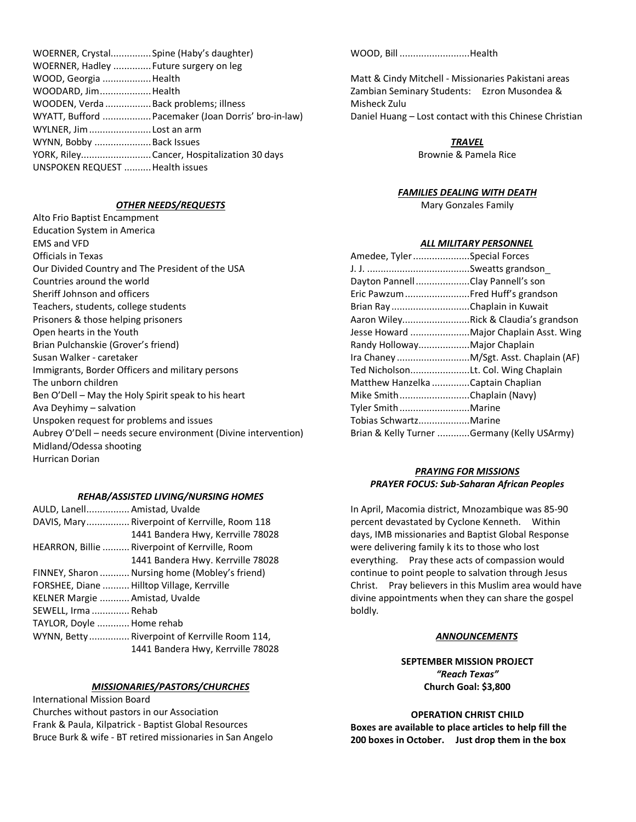| WOERNER, Crystal Spine (Haby's daughter) |                                                     |
|------------------------------------------|-----------------------------------------------------|
| WOERNER, Hadley  Future surgery on leg   |                                                     |
| WOOD, Georgia Health                     |                                                     |
| WOODARD, JimHealth                       |                                                     |
| WOODEN, Verda  Back problems; illness    |                                                     |
|                                          | WYATT, Bufford  Pacemaker (Joan Dorris' bro-in-law) |
| WYLNER, Jim Lost an arm                  |                                                     |
| WYNN, Bobby  Back Issues                 |                                                     |
|                                          | YORK, RileyCancer, Hospitalization 30 days          |
| UNSPOKEN REQUEST  Health issues          |                                                     |
|                                          |                                                     |

### *OTHER NEEDS/REQUESTS*

Alto Frio Baptist Encampment Education System in America EMS and VFD Officials in Texas Our Divided Country and The President of the USA Countries around the world Sheriff Johnson and officers Teachers, students, college students Prisoners & those helping prisoners Open hearts in the Youth Brian Pulchanskie (Grover's friend) Susan Walker - caretaker Immigrants, Border Officers and military persons The unborn children Ben O'Dell – May the Holy Spirit speak to his heart Ava Deyhimy – salvation Unspoken request for problems and issues Aubrey O'Dell – needs secure environment (Divine intervention) Midland/Odessa shooting Hurrican Dorian

## *REHAB/ASSISTED LIVING/NURSING HOMES*

| AULD, Lanell Amistad, Uvalde   |                                                |
|--------------------------------|------------------------------------------------|
|                                | DAVIS, Mary Riverpoint of Kerrville, Room 118  |
|                                | 1441 Bandera Hwy, Kerrville 78028              |
|                                | HEARRON, Billie  Riverpoint of Kerrville, Room |
|                                | 1441 Bandera Hwy. Kerrville 78028              |
|                                | FINNEY, Sharon  Nursing home (Mobley's friend) |
|                                | FORSHEE, Diane  Hilltop Village, Kerrville     |
| KELNER Margie  Amistad, Uvalde |                                                |
| SEWELL, Irma  Rehab            |                                                |
| TAYLOR, Doyle  Home rehab      |                                                |
|                                | WYNN, Betty  Riverpoint of Kerrville Room 114, |
|                                | 1441 Bandera Hwy, Kerrville 78028              |

#### *MISSIONARIES/PASTORS/CHURCHES*

International Mission Board Churches without pastors in our Association Frank & Paula, Kilpatrick - Baptist Global Resources Bruce Burk & wife - BT retired missionaries in San Angelo WOOD, Bill ..........................Health

Matt & Cindy Mitchell - Missionaries Pakistani areas Zambian Seminary Students: Ezron Musondea & Misheck Zulu Daniel Huang – Lost contact with this Chinese Christian

*TRAVEL*

Brownie & Pamela Rice

#### *FAMILIES DEALING WITH DEATH*

Mary Gonzales Family

#### *ALL MILITARY PERSONNEL*

| Amedee, TylerSpecial Forces                 |  |
|---------------------------------------------|--|
|                                             |  |
| Dayton PannellClay Pannell's son            |  |
| Eric Pawzum Fred Huff's grandson            |  |
| Brian Ray Chaplain in Kuwait                |  |
| Aaron WileyRick & Claudia's grandson        |  |
| Jesse Howard  Major Chaplain Asst. Wing     |  |
| Randy HollowayMajor Chaplain                |  |
| Ira Chaney  M/Sgt. Asst. Chaplain (AF)      |  |
| Ted NicholsonLt. Col. Wing Chaplain         |  |
| Matthew Hanzelka Captain Chaplian           |  |
| Mike SmithChaplain (Navy)                   |  |
| Tyler SmithMarine                           |  |
| Tobias SchwartzMarine                       |  |
| Brian & Kelly Turner Germany (Kelly USArmy) |  |
|                                             |  |

# *PRAYING FOR MISSIONS PRAYER FOCUS: Sub-Saharan African Peoples*

In April, Macomia district, Mnozambique was 85-90 percent devastated by Cyclone Kenneth. Within days, IMB missionaries and Baptist Global Response were delivering family k its to those who lost everything. Pray these acts of compassion would continue to point people to salvation through Jesus Christ. Pray believers in this Muslim area would have divine appointments when they can share the gospel boldly*.*

# *ANNOUNCEMENTS*

# **SEPTEMBER MISSION PROJECT** *"Reach Texas"* **Church Goal: \$3,800**

# **OPERATION CHRIST CHILD**

**Boxes are available to place articles to help fill the 200 boxes in October. Just drop them in the box**